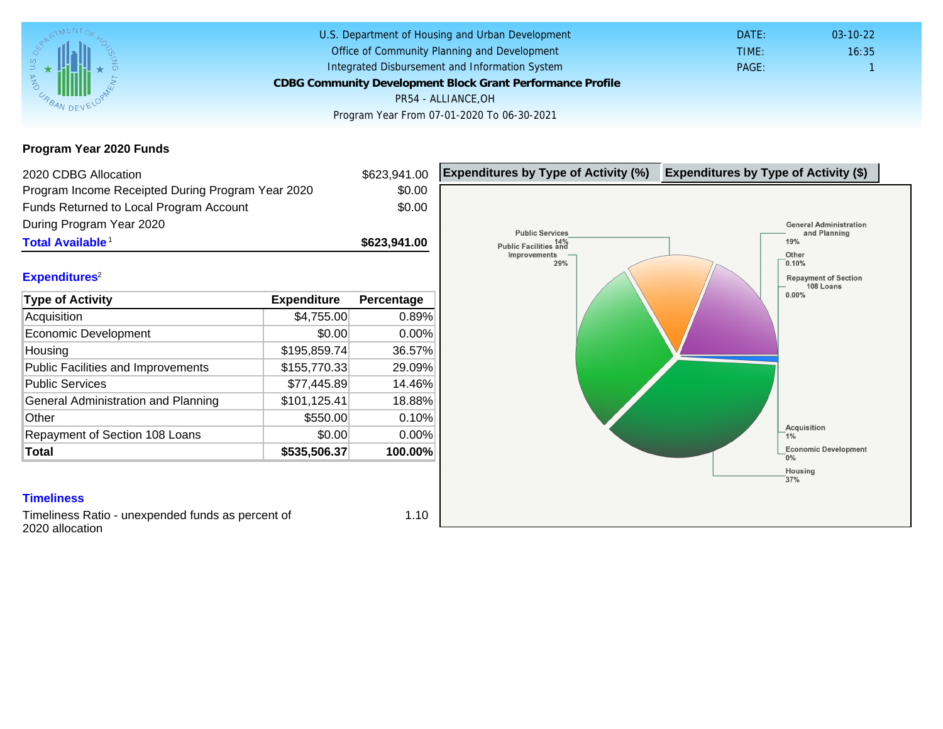Program Year 2020 Funds

| 2020 CDBG Allocation                                                 |               | \$623,941.00 | Expenditures by Type of Activity (%) | Expenditure |
|----------------------------------------------------------------------|---------------|--------------|--------------------------------------|-------------|
| Program Income Receipted During Program Year 2020                    |               | \$0.00       |                                      |             |
| Funds Returned to Local Program Account                              |               | \$0.00       |                                      |             |
| During Program Year 2020                                             |               |              |                                      |             |
| Total Available <sup>1</sup>                                         |               | \$623,941.00 |                                      |             |
|                                                                      |               |              |                                      |             |
| Expenditures <sup>2</sup>                                            |               |              |                                      |             |
| Type of Activity                                                     | Expenditure   | Percentage   |                                      |             |
| Acquisition                                                          | \$4,755.00    | 0.89%        |                                      |             |
| Economic Development                                                 | \$0.00        | 0.00%        |                                      |             |
| Housing                                                              | \$195,859.74  | 36.57%       |                                      |             |
| <b>Public Facilities and Improvements</b>                            | \$155,770.33  | 29.09%       |                                      |             |
| <b>Public Services</b>                                               | \$77,445.89   | 14.46%       |                                      |             |
| General Administration and Planning                                  | \$101, 125.41 | 18.88%       |                                      |             |
| Other                                                                | \$550.00      | 0.10%        |                                      |             |
| Repayment of Section 108 Loans                                       | \$0.00        | 0.00%        |                                      |             |
| Total                                                                | \$535,506.37  | 100.00%      |                                      |             |
|                                                                      |               |              |                                      |             |
| <b>Timeliness</b>                                                    |               |              |                                      |             |
| Timeliness Ratio - unexpended funds as percent of<br>2020 allocation |               | 1.10         |                                      |             |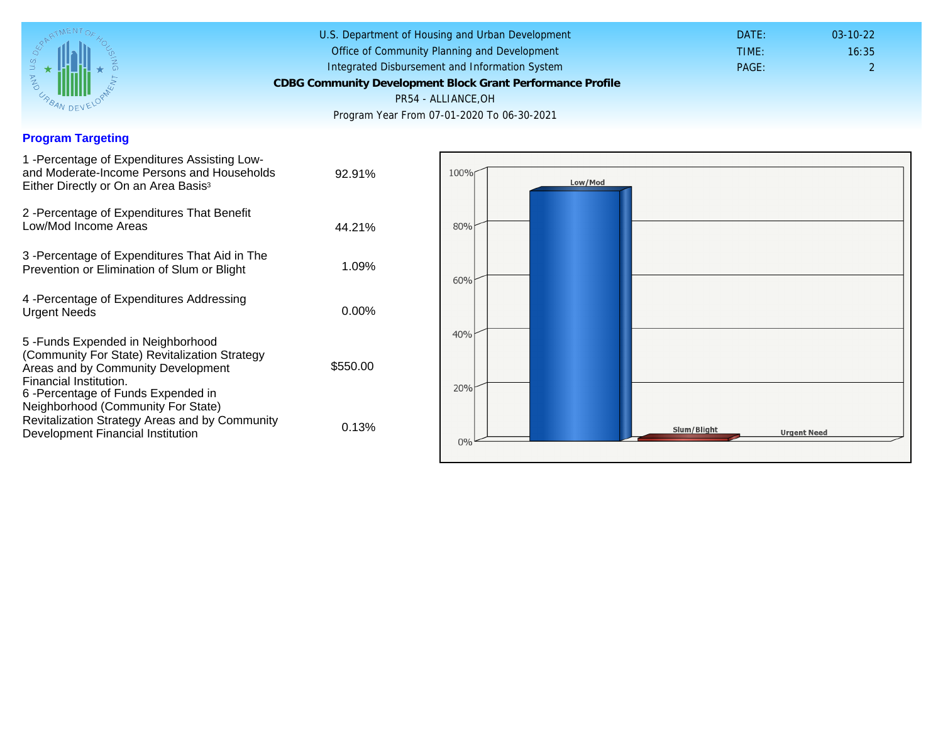## Program Targeting

| 1 - Percentage of Expenditures Assisting Low-<br>and Moderate-Income Persons and Households<br>Either Directly or On an Area Basis <sup>3</sup>                                                                              | 92.91%   |
|------------------------------------------------------------------------------------------------------------------------------------------------------------------------------------------------------------------------------|----------|
| 2 - Percentage of Expenditures That Benefit<br>Low/Mod Income Areas                                                                                                                                                          | 44.21%   |
| 3 - Percentage of Expenditures That Aid in The<br>Prevention or Elimination of Slum or Blight                                                                                                                                | 1.09%    |
| 4 - Percentage of Expenditures Addressing<br><b>Urgent Needs</b>                                                                                                                                                             | $0.00\%$ |
| 5-Funds Expended in Neighborhood<br>(Community For State) Revitalization Strategy<br>Areas and by Community Development<br>Financial Institution.<br>6-Percentage of Funds Expended in<br>Neighborhood (Community For State) | \$550.00 |
| Revitalization Strategy Areas and by Community<br>Development Financial Institution                                                                                                                                          | 0.13%    |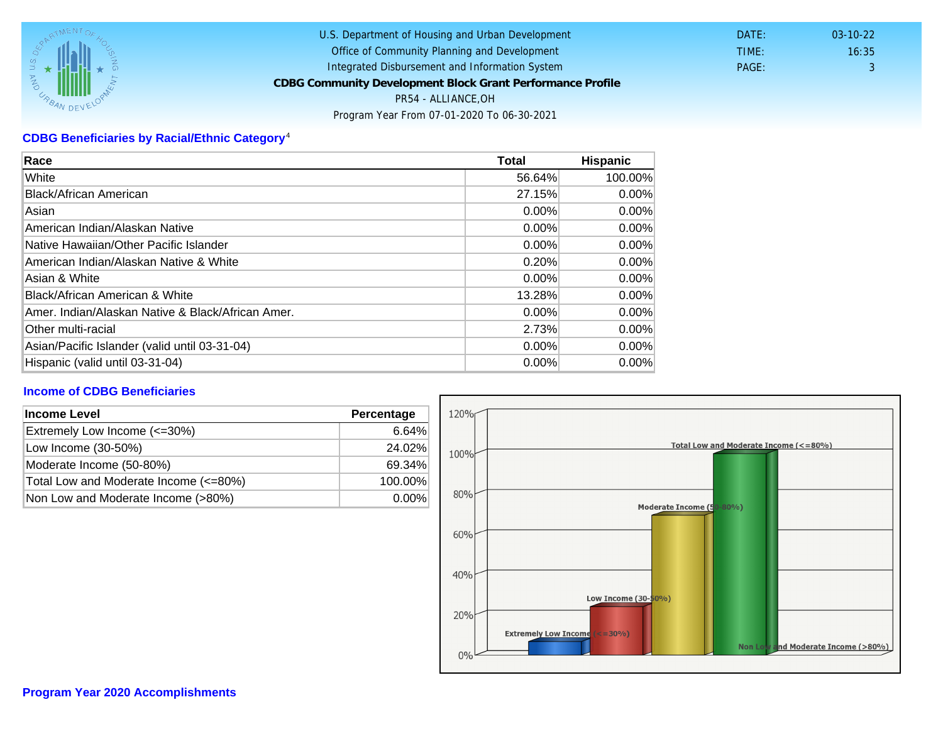## CDBG Beneficiaries by Racial/Ethnic Category <sup>4</sup>

| Race                                              | Total    | Hispanic |
|---------------------------------------------------|----------|----------|
| White                                             | 56.64%   | 100.00%  |
| Black/African American                            | 27.15%   | $0.00\%$ |
| Asian                                             | $0.00\%$ | $0.00\%$ |
| American Indian/Alaskan Native                    | 0.00%    | $0.00\%$ |
| lNative Hawaiian/Other Pacific Islander           | $0.00\%$ | $0.00\%$ |
| American Indian/Alaskan Native & White            | 0.20%    | $0.00\%$ |
| Asian & White                                     | $0.00\%$ | 0.00%    |
| Black/African American & White                    | 13.28%   | $0.00\%$ |
| Amer. Indian/Alaskan Native & Black/African Amer. | $0.00\%$ | $0.00\%$ |
| <b>Other multi-racial</b>                         | 2.73%    | $0.00\%$ |
| Asian/Pacific Islander (valid until 03-31-04)     | $0.00\%$ | $0.00\%$ |
| Hispanic (valid until 03-31-04)                   | $0.00\%$ | 0.00%    |

## Income of CDBG Beneficiaries

| Income Level                          | Percentage |
|---------------------------------------|------------|
| Extremely Low Income (<=30%)          | 6.64%      |
| Low Income (30-50%)                   | 24.02%     |
| Moderate Income (50-80%)              | 69.34%     |
| Total Low and Moderate Income (<=80%) | 100.00%    |
| Non Low and Moderate Income (>80%)    | $0.00\%$   |